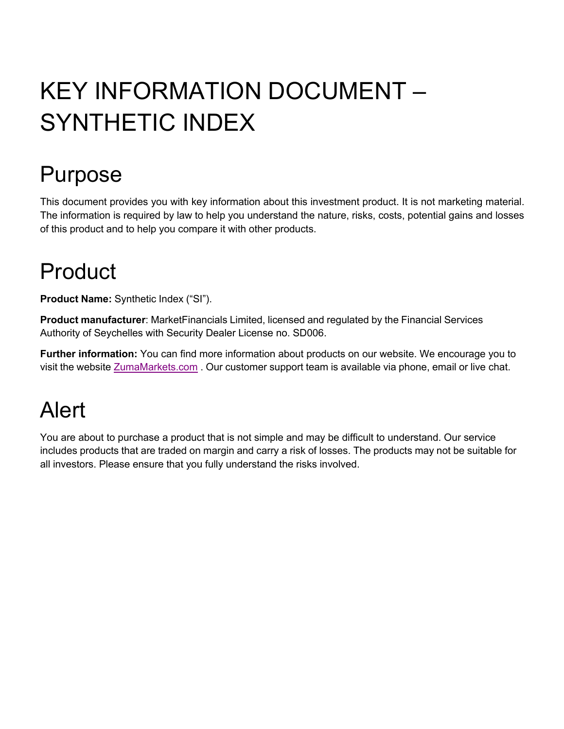# KEY INFORMATION DOCUMENT – SYNTHETIC INDEX

## Purpose

This document provides you with key information about this investment product. It is not marketing material. The information is required by law to help you understand the nature, risks, costs, potential gains and losses of this product and to help you compare it with other products.

#### Product

**Product Name:** Synthetic Index ("SI").

**Product manufacturer**: MarketFinancials Limited, licensed and regulated by the Financial Services Authority of Seychelles with Security Dealer License no. SD006.

**Further information:** You can find more information about products on our website. We encourage you to visit the website ZumaMarkets.com. Our customer support team is available via phone, email or live chat.

## Alert

You are about to purchase a product that is not simple and may be difficult to understand. Our service includes products that are traded on margin and carry a risk of losses. The products may not be suitable for all investors. Please ensure that you fully understand the risks involved.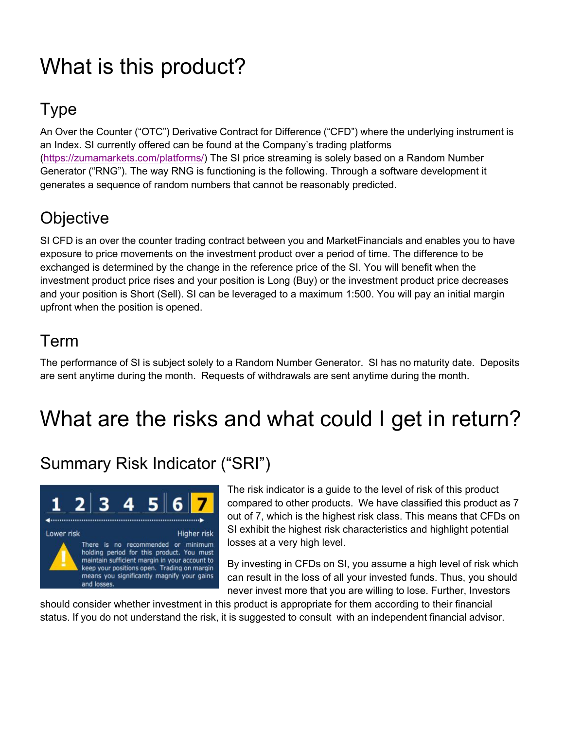## What is this product?

#### Type

An Over the Counter ("OTC") Derivative Contract for Difference ("CFD") where the underlying instrument is an Index. SI currently offered can be found at the Company's trading platforms (https://zumamarkets.com/platforms/) The SI price streaming is solely based on a Random Number Generator ("RNG"). The way RNG is functioning is the following. Through a software development it generates a sequence of random numbers that cannot be reasonably predicted.

#### **Objective**

SI CFD is an over the counter trading contract between you and MarketFinancials and enables you to have exposure to price movements on the investment product over a period of time. The difference to be exchanged is determined by the change in the reference price of the SI. You will benefit when the investment product price rises and your position is Long (Buy) or the investment product price decreases and your position is Short (Sell). SI can be leveraged to a maximum 1:500. You will pay an initial margin upfront when the position is opened.

#### Term

The performance of SI is subject solely to a Random Number Generator. SI has no maturity date. Deposits are sent anytime during the month. Requests of withdrawals are sent anytime during the month.

#### What are the risks and what could I get in return?

#### Summary Risk Indicator ("SRI")



The risk indicator is a guide to the level of risk of this product compared to other products. We have classified this product as 7 out of 7, which is the highest risk class. This means that CFDs on SI exhibit the highest risk characteristics and highlight potential losses at a very high level.

By investing in CFDs on SI, you assume a high level of risk which can result in the loss of all your invested funds. Thus, you should never invest more that you are willing to lose. Further, Investors

should consider whether investment in this product is appropriate for them according to their financial status. If you do not understand the risk, it is suggested to consult with an independent financial advisor.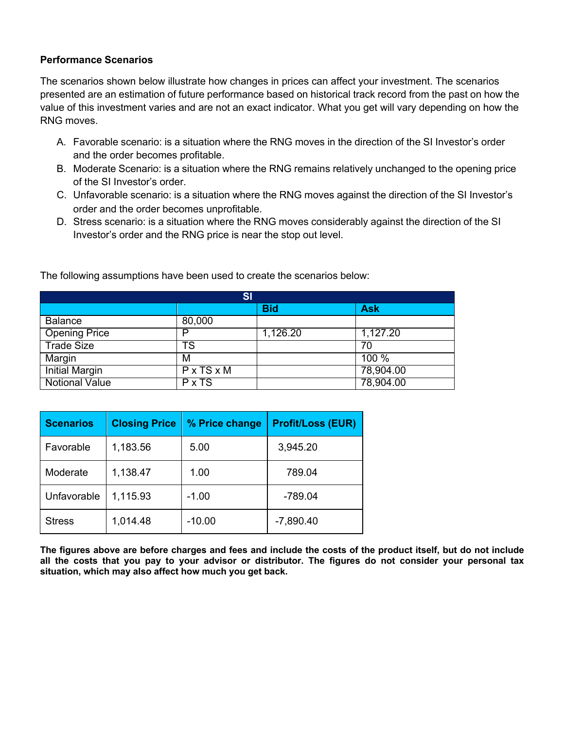#### **Performance Scenarios**

The scenarios shown below illustrate how changes in prices can affect your investment. The scenarios presented are an estimation of future performance based on historical track record from the past on how the value of this investment varies and are not an exact indicator. What you get will vary depending on how the RNG moves.

- A. Favorable scenario: is a situation where the RNG moves in the direction of the SI Investor's order and the order becomes profitable.
- B. Moderate Scenario: is a situation where the RNG remains relatively unchanged to the opening price of the SI Investor's order.
- C. Unfavorable scenario: is a situation where the RNG moves against the direction of the SI Investor's order and the order becomes unprofitable.
- D. Stress scenario: is a situation where the RNG moves considerably against the direction of the SI Investor's order and the RNG price is near the stop out level.

| SI                    |                        |            |            |  |
|-----------------------|------------------------|------------|------------|--|
|                       |                        | <b>Bid</b> | <b>Ask</b> |  |
| <b>Balance</b>        | 80,000                 |            |            |  |
| Opening Price         | P                      | 1,126.20   | 1,127.20   |  |
| <b>Trade Size</b>     | TS                     |            | 70         |  |
| Margin                | M                      |            | 100 %      |  |
| <b>Initial Margin</b> | $P \times TS \times M$ |            | 78,904.00  |  |
| <b>Notional Value</b> | $P \times TS$          |            | 78,904.00  |  |

The following assumptions have been used to create the scenarios below:

| <b>Scenarios</b> | <b>Closing Price</b> | % Price change | <b>Profit/Loss (EUR)</b> |
|------------------|----------------------|----------------|--------------------------|
| Favorable        | 1,183.56             | 5.00           | 3,945.20                 |
| Moderate         | 1,138.47             | 1.00           | 789.04                   |
| Unfavorable      | 1,115.93             | $-1.00$        | -789.04                  |
| <b>Stress</b>    | 1,014.48             | $-10.00$       | $-7,890.40$              |

**The figures above are before charges and fees and include the costs of the product itself, but do not include all the costs that you pay to your advisor or distributor. The figures do not consider your personal tax situation, which may also affect how much you get back.**